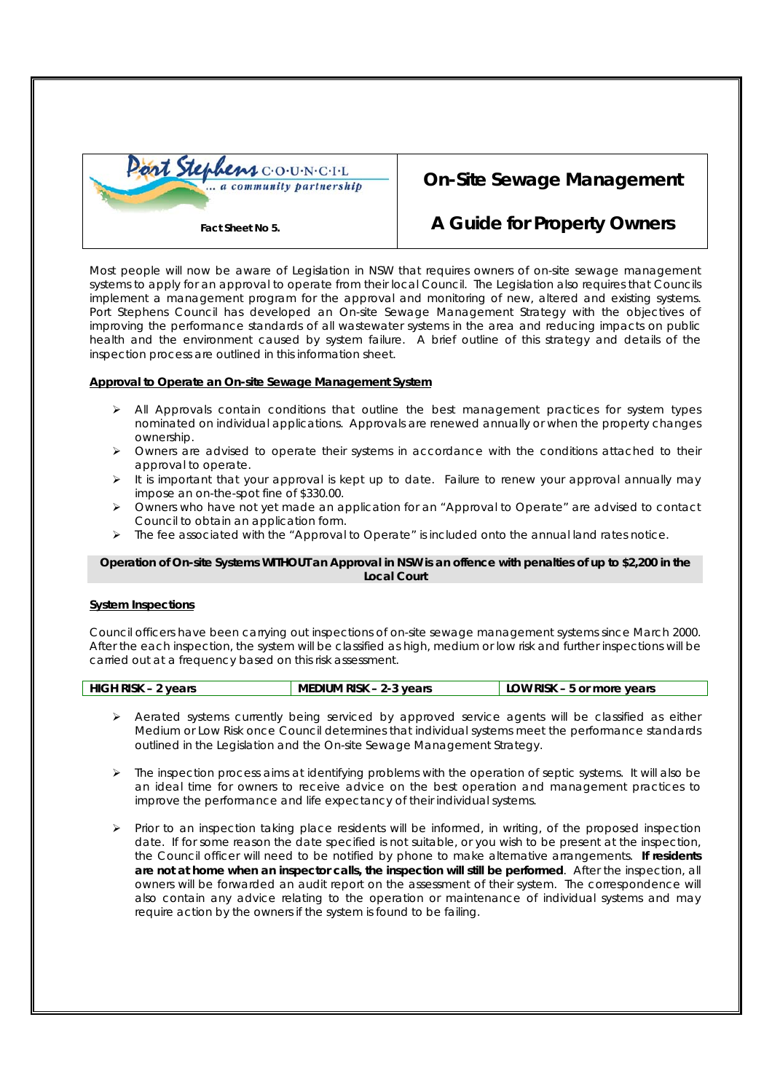

# **On-Site Sewage Management**

## **A Guide for Property Owners**

Most people will now be aware of Legislation in NSW that requires owners of on-site sewage management systems to apply for an approval to operate from their local Council. The Legislation also requires that Councils implement a management program for the approval and monitoring of new, altered and existing systems. Port Stephens Council has developed an On-site Sewage Management Strategy with the objectives of improving the performance standards of all wastewater systems in the area and reducing impacts on public health and the environment caused by system failure. A brief outline of this strategy and details of the inspection process are outlined in this information sheet.

## **Approval to Operate an On-site Sewage Management System**

- $\triangleright$  All Approvals contain conditions that outline the best management practices for system types nominated on individual applications. Approvals are renewed annually or when the property changes ownership.
- ¾ Owners are advised to operate their systems in accordance with the conditions attached to their approval to operate.
- ¾ It is important that your approval is kept up to date. Failure to renew your approval annually may impose an on-the-spot fine of \$330.00.
- ¾ Owners who have not yet made an application for an "Approval to Operate" are advised to contact Council to obtain an application form.
- $\triangleright$  The fee associated with the "Approval to Operate" is included onto the annual land rates notice.

#### **Operation of On-site Systems WITHOUT an Approval in NSW is an offence with penalties of up to \$2,200 in the Local Court**

#### **System Inspections**

Council officers have been carrying out inspections of on-site sewage management systems since March 2000. After the each inspection, the system will be classified as high, medium or low risk and further inspections will be carried out at a frequency based on this risk assessment.

| <b>HIGH RISK - 2 years</b> | MEDIUM RISK - 2-3 years | LOW RISK - 5 or more years |
|----------------------------|-------------------------|----------------------------|

- $\triangleright$  Aerated systems currently being serviced by approved service agents will be classified as either Medium or Low Risk once Council determines that individual systems meet the performance standards outlined in the Legislation and the On-site Sewage Management Strategy.
- ¾ The inspection process aims at identifying problems with the operation of septic systems. It will also be an ideal time for owners to receive advice on the best operation and management practices to improve the performance and life expectancy of their individual systems.
- ¾ Prior to an inspection taking place residents will be informed, in writing, of the proposed inspection date. If for some reason the date specified is not suitable, or you wish to be present at the inspection, the Council officer will need to be notified by phone to make alternative arrangements. **If residents are not at home when an inspector calls, the inspection will still be performed**. After the inspection, all owners will be forwarded an audit report on the assessment of their system. The correspondence will also contain any advice relating to the operation or maintenance of individual systems and may require action by the owners if the system is found to be failing.